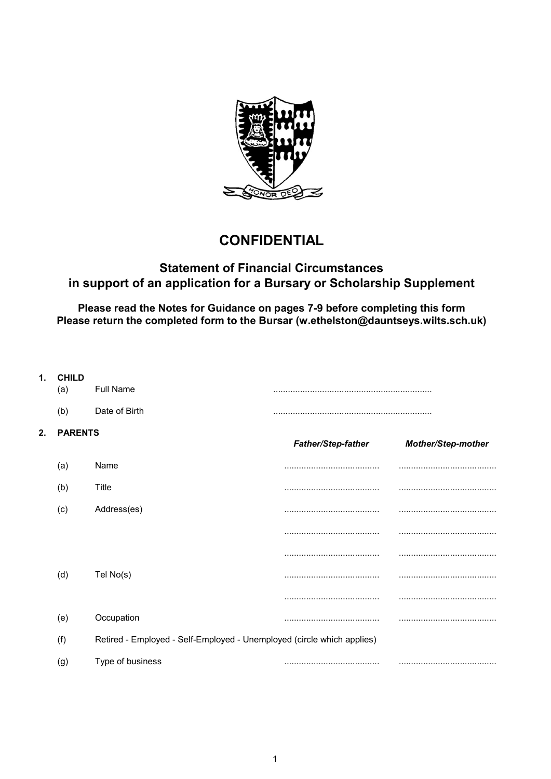

# **CONFIDENTIAL**

## Statement of Financial Circumstances in support of an application for a Bursary or Scholarship Supplement

Please read the Notes for Guidance on pages 7-9 before completing this form Please return the completed form to the Bursar (w.ethelston@dauntseys.wilts.sch.uk)

| 1. | <b>CHILD</b><br>(a)                                                           | <b>Full Name</b> |                           |                           |  |
|----|-------------------------------------------------------------------------------|------------------|---------------------------|---------------------------|--|
|    | (b)                                                                           | Date of Birth    |                           |                           |  |
| 2. | <b>PARENTS</b>                                                                |                  | <b>Father/Step-father</b> | <b>Mother/Step-mother</b> |  |
|    | (a)                                                                           | Name             |                           |                           |  |
|    | (b)                                                                           | Title            |                           |                           |  |
|    | (c)                                                                           | Address(es)      |                           |                           |  |
|    |                                                                               |                  |                           |                           |  |
|    |                                                                               |                  |                           |                           |  |
|    | (d)                                                                           | Tel No(s)        |                           |                           |  |
|    |                                                                               |                  |                           |                           |  |
|    | (e)                                                                           | Occupation       |                           |                           |  |
|    | Retired - Employed - Self-Employed - Unemployed (circle which applies)<br>(f) |                  |                           |                           |  |
|    | (g)                                                                           | Type of business |                           |                           |  |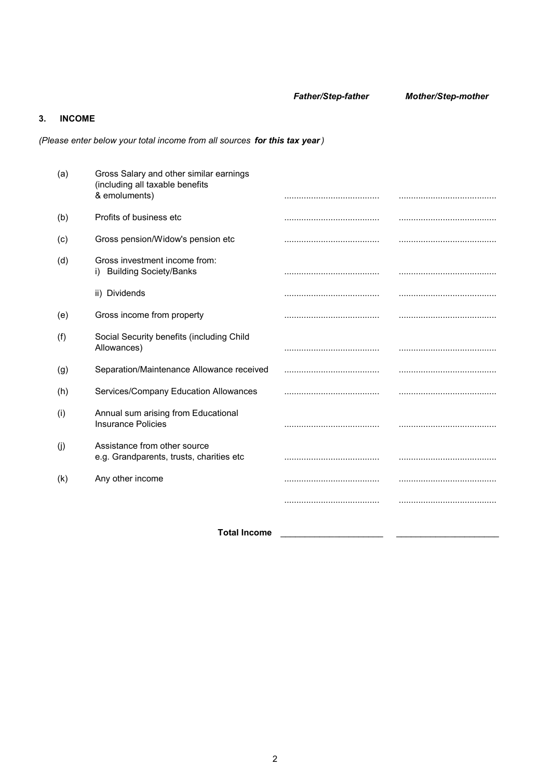Father/Step-father Mother/Step-mother

## 3. INCOME

(Please enter below your total income from all sources for this tax year)

|     | <b>Total Income</b>                                                                         |  |
|-----|---------------------------------------------------------------------------------------------|--|
|     |                                                                                             |  |
| (k) | Any other income                                                                            |  |
| (j) | Assistance from other source<br>e.g. Grandparents, trusts, charities etc                    |  |
| (i) | Annual sum arising from Educational<br><b>Insurance Policies</b>                            |  |
| (h) | Services/Company Education Allowances                                                       |  |
| (g) | Separation/Maintenance Allowance received                                                   |  |
| (f) | Social Security benefits (including Child<br>Allowances)                                    |  |
| (e) | Gross income from property                                                                  |  |
|     | ii) Dividends                                                                               |  |
| (d) | Gross investment income from:<br>i) Building Society/Banks                                  |  |
| (c) | Gross pension/Widow's pension etc                                                           |  |
| (b) | Profits of business etc                                                                     |  |
| (a) | Gross Salary and other similar earnings<br>(including all taxable benefits<br>& emoluments) |  |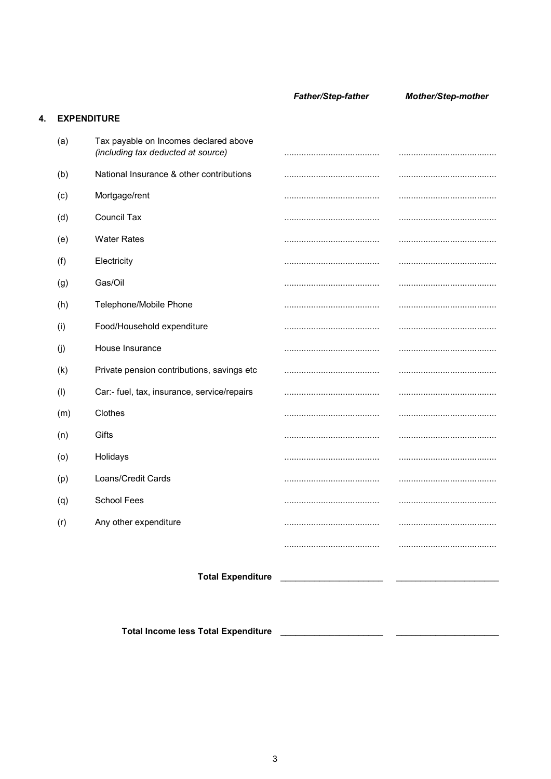**Father/Step-father** 

Mother/Step-mother

### 4. EXPENDITURE

|     | <b>Total Income less Total Expenditure</b>                                  |                                         |  |
|-----|-----------------------------------------------------------------------------|-----------------------------------------|--|
|     |                                                                             | Total Expenditure _____________________ |  |
|     |                                                                             |                                         |  |
|     |                                                                             |                                         |  |
| (r) | Any other expenditure                                                       |                                         |  |
| (q) | <b>School Fees</b>                                                          |                                         |  |
| (p) | Loans/Credit Cards                                                          |                                         |  |
| (0) | Holidays                                                                    |                                         |  |
| (n) | Gifts                                                                       |                                         |  |
| (m) | Clothes                                                                     |                                         |  |
| (1) | Car:- fuel, tax, insurance, service/repairs                                 |                                         |  |
| (k) | Private pension contributions, savings etc                                  |                                         |  |
| (j) | House Insurance                                                             |                                         |  |
| (i) | Food/Household expenditure                                                  |                                         |  |
| (h) | Telephone/Mobile Phone                                                      |                                         |  |
| (g) | Gas/Oil                                                                     |                                         |  |
| (f) | Electricity                                                                 |                                         |  |
| (e) | <b>Water Rates</b>                                                          |                                         |  |
| (d) | <b>Council Tax</b>                                                          |                                         |  |
| (c) | Mortgage/rent                                                               |                                         |  |
| (b) | National Insurance & other contributions                                    |                                         |  |
| (a) | Tax payable on Incomes declared above<br>(including tax deducted at source) |                                         |  |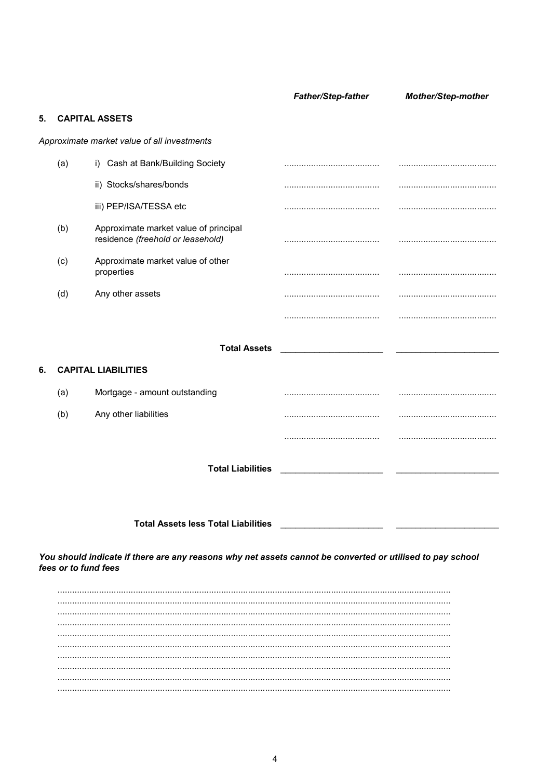Father/Step-father Mother/Step-mother **CAPITAL ASSETS**  $5<sub>1</sub>$ Approximate market value of all investments  $(a)$ i) Cash at Bank/Building Society ii) Stocks/shares/bonds iii) PEP/ISA/TESSA etc  $(b)$ Approximate market value of principal residence (freehold or leasehold) Approximate market value of other  $(c)$ properties Any other assets  $(d)$ **Total Assets CAPITAL LIABILITIES** 6.  $(a)$ Mortgage - amount outstanding  $(b)$ Any other liabilities **Total Liabilities Total Assets less Total Liabilities** You should indicate if there are any reasons why net assets cannot be converted or utilised to pay school fees or to fund fees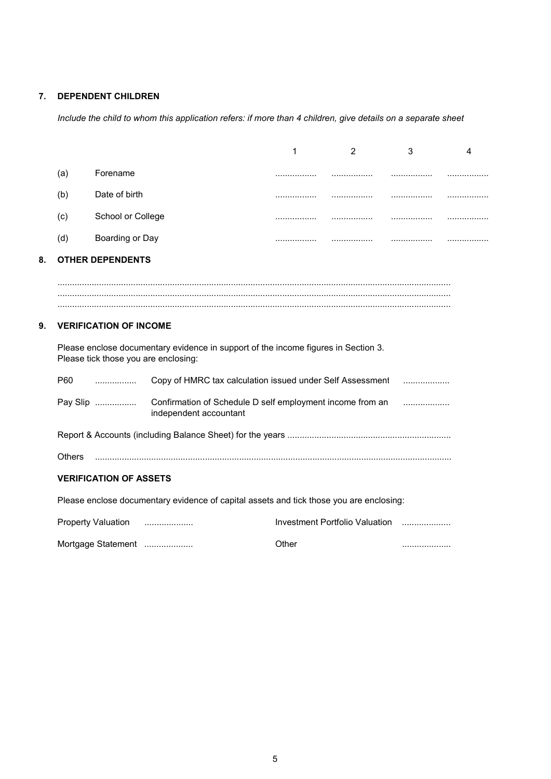## 7. DEPENDENT CHILDREN

Include the child to whom this application refers: if more than 4 children, give details on a separate sheet

|    |                                                                                                                            |                               |                                                                                     | 1     | $\overline{2}$                 | 3 | 4 |
|----|----------------------------------------------------------------------------------------------------------------------------|-------------------------------|-------------------------------------------------------------------------------------|-------|--------------------------------|---|---|
|    | (a)                                                                                                                        | Forename                      |                                                                                     |       | .                              |   |   |
|    | (b)                                                                                                                        | Date of birth                 |                                                                                     | .     | .                              | . |   |
|    | (c)                                                                                                                        | School or College             |                                                                                     |       |                                | . |   |
|    | (d)                                                                                                                        | Boarding or Day               |                                                                                     |       |                                |   | . |
| 8. |                                                                                                                            | <b>OTHER DEPENDENTS</b>       |                                                                                     |       |                                |   |   |
|    |                                                                                                                            |                               |                                                                                     |       |                                |   |   |
|    |                                                                                                                            |                               |                                                                                     |       |                                |   |   |
| 9. |                                                                                                                            | <b>VERIFICATION OF INCOME</b> |                                                                                     |       |                                |   |   |
|    | Please enclose documentary evidence in support of the income figures in Section 3.<br>Please tick those you are enclosing: |                               |                                                                                     |       |                                |   |   |
|    | P60                                                                                                                        | .                             | Copy of HMRC tax calculation issued under Self Assessment                           |       |                                | . |   |
|    |                                                                                                                            | Pay Slip                      | Confirmation of Schedule D self employment income from an<br>independent accountant |       |                                |   |   |
|    |                                                                                                                            |                               |                                                                                     |       |                                |   |   |
|    | <b>Others</b>                                                                                                              |                               |                                                                                     |       |                                |   |   |
|    | <b>VERIFICATION OF ASSETS</b>                                                                                              |                               |                                                                                     |       |                                |   |   |
|    | Please enclose documentary evidence of capital assets and tick those you are enclosing:                                    |                               |                                                                                     |       |                                |   |   |
|    |                                                                                                                            | <b>Property Valuation</b>     |                                                                                     |       | Investment Portfolio Valuation |   |   |
|    |                                                                                                                            | Mortgage Statement            |                                                                                     | Other |                                | . |   |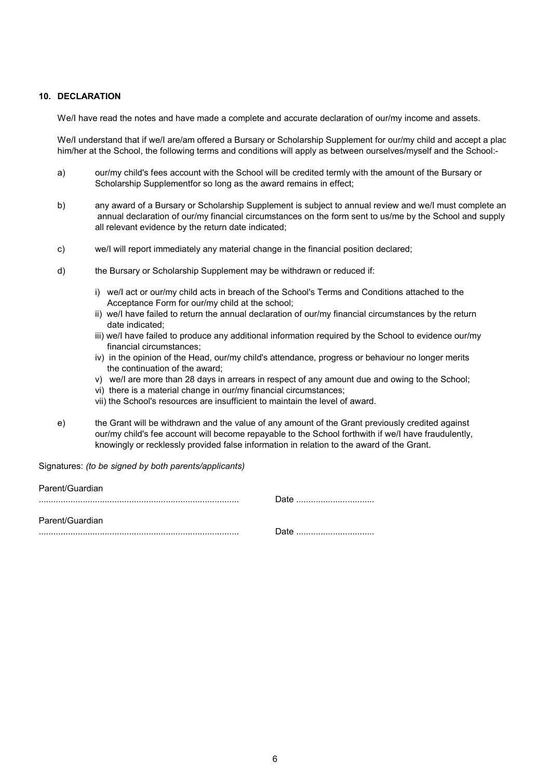#### 10. DECLARATION

We/I have read the notes and have made a complete and accurate declaration of our/my income and assets.

We/I understand that if we/I are/am offered a Bursary or Scholarship Supplement for our/my child and accept a plac him/her at the School, the following terms and conditions will apply as between ourselves/myself and the School:-

- a) our/my child's fees account with the School will be credited termly with the amount of the Bursary or Scholarship Supplementfor so long as the award remains in effect;
- b) any award of a Bursary or Scholarship Supplement is subject to annual review and we/I must complete an annual declaration of our/my financial circumstances on the form sent to us/me by the School and supply all relevant evidence by the return date indicated;
- c) we/I will report immediately any material change in the financial position declared;
- d) the Bursary or Scholarship Supplement may be withdrawn or reduced if:
	- i) we/I act or our/my child acts in breach of the School's Terms and Conditions attached to the Acceptance Form for our/my child at the school;
	- ii) we/I have failed to return the annual declaration of our/my financial circumstances by the return date indicated;
	- iii) we/I have failed to produce any additional information required by the School to evidence our/my financial circumstances;
	- iv) in the opinion of the Head, our/my child's attendance, progress or behaviour no longer merits the continuation of the award;
	- v) we/I are more than 28 days in arrears in respect of any amount due and owing to the School;
	- vi) there is a material change in our/my financial circumstances;
	- vii) the School's resources are insufficient to maintain the level of award.
- e) the Grant will be withdrawn and the value of any amount of the Grant previously credited against our/my child's fee account will become repayable to the School forthwith if we/I have fraudulently, knowingly or recklessly provided false information in relation to the award of the Grant.

Signatures: (to be signed by both parents/applicants)

| Parent/Guardian |      |
|-----------------|------|
|                 | Date |
|                 |      |
| Parent/Guardian |      |
|                 | Date |
|                 |      |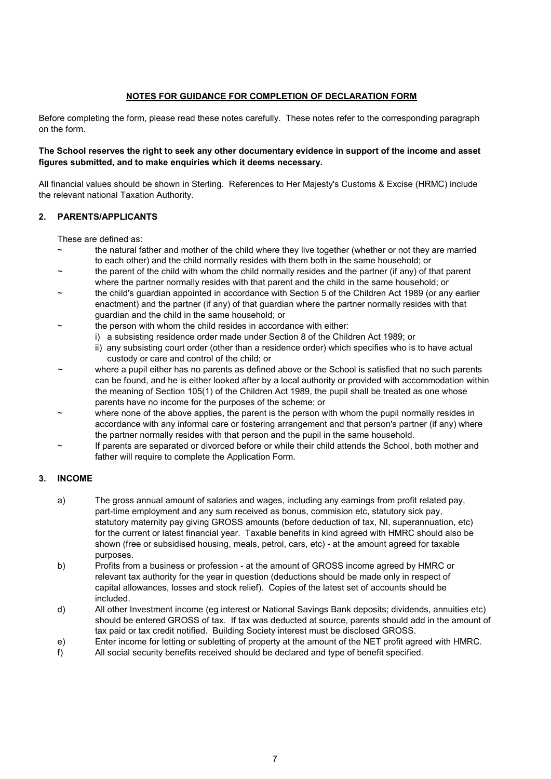#### NOTES FOR GUIDANCE FOR COMPLETION OF DECLARATION FORM

Before completing the form, please read these notes carefully. These notes refer to the corresponding paragraph on the form.

#### The School reserves the right to seek any other documentary evidence in support of the income and asset figures submitted, and to make enquiries which it deems necessary.

All financial values should be shown in Sterling. References to Her Majesty's Customs & Excise (HRMC) include the relevant national Taxation Authority.

#### 2. PARENTS/APPLICANTS

These are defined as:

- the natural father and mother of the child where they live together (whether or not they are married to each other) and the child normally resides with them both in the same household; or
- the parent of the child with whom the child normally resides and the partner (if any) of that parent where the partner normally resides with that parent and the child in the same household; or
- the child's guardian appointed in accordance with Section 5 of the Children Act 1989 (or any earlier enactment) and the partner (if any) of that guardian where the partner normally resides with that guardian and the child in the same household; or
	- the person with whom the child resides in accordance with either:
		- i) a subsisting residence order made under Section 8 of the Children Act 1989; or
			- ii) any subsisting court order (other than a residence order) which specifies who is to have actual custody or care and control of the child; or
- where a pupil either has no parents as defined above or the School is satisfied that no such parents can be found, and he is either looked after by a local authority or provided with accommodation within the meaning of Section 105(1) of the Children Act 1989, the pupil shall be treated as one whose parents have no income for the purposes of the scheme; or
- where none of the above applies, the parent is the person with whom the pupil normally resides in accordance with any informal care or fostering arrangement and that person's partner (if any) where the partner normally resides with that person and the pupil in the same household.
- If parents are separated or divorced before or while their child attends the School, both mother and father will require to complete the Application Form.

#### 3. INCOME

- a) The gross annual amount of salaries and wages, including any earnings from profit related pay, part-time employment and any sum received as bonus, commision etc, statutory sick pay, statutory maternity pay giving GROSS amounts (before deduction of tax, NI, superannuation, etc) for the current or latest financial year. Taxable benefits in kind agreed with HMRC should also be shown (free or subsidised housing, meals, petrol, cars, etc) - at the amount agreed for taxable purposes.
- b) Profits from a business or profession at the amount of GROSS income agreed by HMRC or relevant tax authority for the year in question (deductions should be made only in respect of capital allowances, losses and stock relief). Copies of the latest set of accounts should be included.
- d) All other Investment income (eg interest or National Savings Bank deposits; dividends, annuities etc) should be entered GROSS of tax. If tax was deducted at source, parents should add in the amount of tax paid or tax credit notified. Building Society interest must be disclosed GROSS.
- e) Enter income for letting or subletting of property at the amount of the NET profit agreed with HMRC.
- f) All social security benefits received should be declared and type of benefit specified.